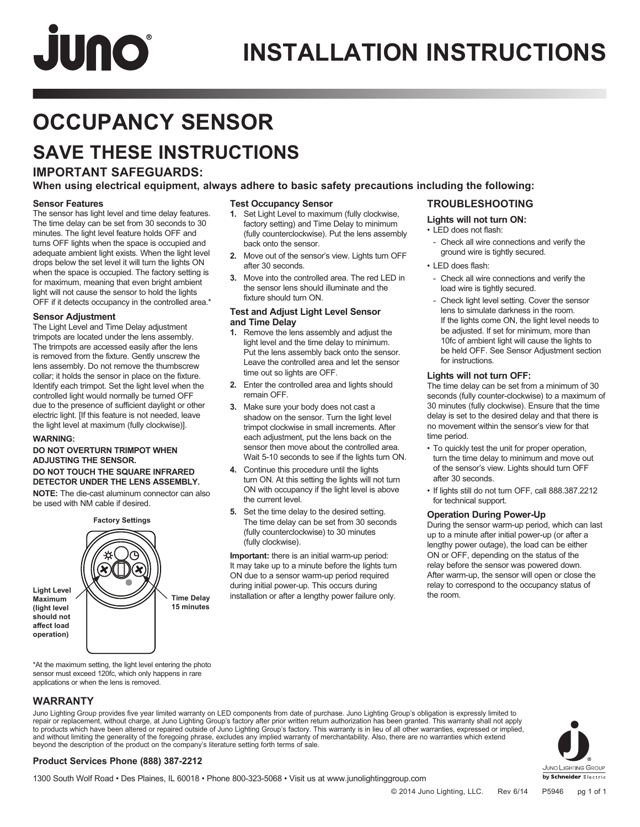# JUNO

### **INSTALLATION INSTRUCTIONS**

## **OCCUPANCY SENSOR**

### **SAVE THESE INSTRUCTIONS**

#### **IMPORTANT SAFEGUARDS:**

**When using electrical equipment, always adhere to basic safety precautions including the following: Test Occupancy Sensor**

back onto the sensor.

fixture should turn ON.

time out so lights are OFF.

after 30 seconds.

**and Time Delay**

remain OFF.

the current level.

(fully clockwise).

**1.** Set Light Level to maximum (fully clockwise, factory setting) and Time Delay to minimum (fully counterclockwise). Put the lens assembly

**2.** Move out of the sensor's view. Lights turn OFF

**3.** Move into the controlled area. The red LED in the sensor lens should illuminate and the

**Test and Adjust Light Level Sensor** 

**1.** Remove the lens assembly and adjust the light level and the time delay to minimum. Put the lens assembly back onto the sensor. Leave the controlled area and let the sensor

**2.** Enter the controlled area and lights should

**3.** Make sure your body does not cast a shadow on the sensor. Turn the light level trimpot clockwise in small increments. After each adjustment, put the lens back on the sensor then move about the controlled area. Wait 5-10 seconds to see if the lights turn ON.

**4.** Continue this procedure until the lights turn ON. At this setting the lights will not turn ON with occupancy if the light level is above

**5.** Set the time delay to the desired setting. The time delay can be set from 30 seconds (fully counterclockwise) to 30 minutes

**Important:** there is an initial warm-up period: It may take up to a minute before the lights turn ON due to a sensor warm-up period required during initial power-up. This occurs during installation or after a lengthy power failure only.

#### **Sensor Features**

The sensor has light level and time delay features. The time delay can be set from 30 seconds to 30 minutes. The light level feature holds OFF and turns OFF lights when the space is occupied and adequate ambient light exists. When the light level drops below the set level it will turn the lights ON when the space is occupied. The factory setting is for maximum, meaning that even bright ambient light will not cause the sensor to hold the lights OFF if it detects occupancy in the controlled area.\*

#### **Sensor Adjustment**

The Light Level and Time Delay adjustment trimpots are located under the lens assembly. The trimpots are accessed easily after the lens is removed from the fixture. Gently unscrew the lens assembly. Do not remove the thumbscrew collar; it holds the sensor in place on the fixture. Identify each trimpot. Set the light level when the controlled light would normally be turned OFF due to the presence of sufficient daylight or other electric light. [If this feature is not needed, leave the light level at maximum (fully clockwise)].

#### **WARNING:**

#### **DO NOT OVERTURN TRIMPOT WHEN ADJUSTING THE SENSOR. DO NOT TOUCH THE SQUARE INFRARED DETECTOR UNDER THE LENS ASSEMBLY.**

**NOTE:** The die-cast aluminum connector can also be used with NM cable if desired.



\*At the maximum setting, the light level entering the photo sensor must exceed 120fc, which only happens in rare applications or when the lens is removed.

#### **WARRANTY**

Juno Lighting Group provides five year limited warranty on LED components from date of purchase. Juno Lighting Group's obligation is expressly limited to repair or replacement, without charge, at Juno Lighting Group's factory after prior written return authorization has been granted. This warranty shall not apply<br>to products which have been altered or repaired outside of Ju



#### **Product Services Phone (888) 387-2212**

1300 South Wolf Road • Des Plaines, IL 60018 • Phone 800-323-5068 • Visit us at www.junolightinggroup.com

#### **TROUBLESHOOTING**

#### **Lights will not turn ON:**

- LED does not flash:
- Check all wire connections and verify the ground wire is tightly secured.
- LED does flash:
- Check all wire connections and verify the load wire is tightly secured.
- Check light level setting. Cover the sensor lens to simulate darkness in the room. If the lights come ON, the light level needs to be adjusted. If set for minimum, more than 10fc of ambient light will cause the lights to be held OFF. See Sensor Adjustment section for instructions.

#### **Lights will not turn OFF:**

The time delay can be set from a minimum of 30 seconds (fully counter-clockwise) to a maximum of 30 minutes (fully clockwise). Ensure that the time delay is set to the desired delay and that there is no movement within the sensor's view for that time period.

- To quickly test the unit for proper operation, turn the time delay to minimum and move out of the sensor's view. Lights should turn OFF after 30 seconds.
- If lights still do not turn OFF, call 888.387.2212 for technical support.

#### **Operation During Power-Up**

During the sensor warm-up period, which can last up to a minute after initial power-up (or after a lengthy power outage), the load can be either ON or OFF, depending on the status of the relay before the sensor was powered down. After warm-up, the sensor will open or close the relay to correspond to the occupancy status of the room.